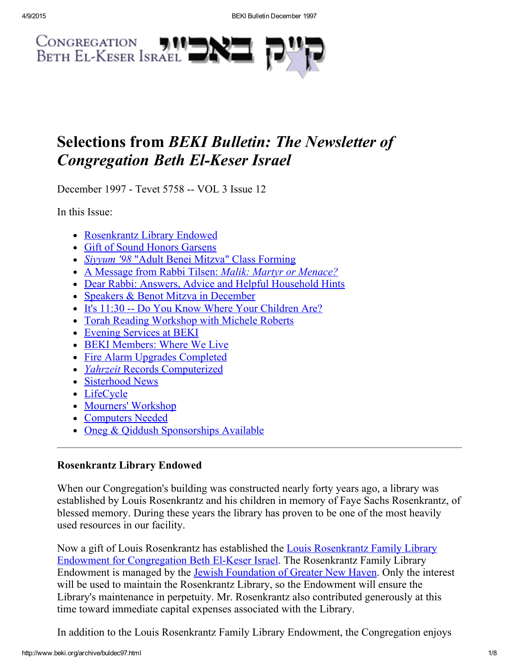

# Selections from BEKI Bulletin: The Newsletter of **Congregation Beth El-Keser Israel**

December 1997 - Tevet 5758 -- VOL 3 Issue 12

In this Issue:

- [Rosenkrantz](#page-0-0) Library Endowed
- Gift of Sound Honors [Garsens](#page-1-0)
- Siyyum '98 "Adult Benei Mitzva" Class [Forming](#page-1-1)
- A Message from Rabbi Tilsen: Malik: Martyr or [Menace?](#page-2-0)
- Dear Rabbi: Answers, Advice and Helpful [Household](#page-3-0) Hints
- Speakers & Benot Mitzva in [December](#page-4-0)
- It's 11:30 -- Do You Know Where Your [Children](#page-5-0) Are?
- Torah Reading [Workshop](#page-5-3) with Michele Roberts
- Evening [Services](#page-5-2) at BEKI
- BEKI [Members:](#page-5-1) Where We Live
- Fire Alarm Upgrades [Completed](#page-6-4)
- Yahrzeit Records [Computerized](#page-6-1)
- [Sisterhood](#page-6-2) News
- [LifeCycle](#page-6-3)
- Mourners' [Workshop](#page-6-0)
- [Computers](#page-7-0) Needed
- Oneg & Qiddush [Sponsorships](#page-7-1) Available

# <span id="page-0-0"></span>Rosenkrantz Library Endowed

When our Congregation's building was constructed nearly forty years ago, a library was established by Louis Rosenkrantz and his children in memory of Faye Sachs Rosenkrantz, of blessed memory. During these years the library has proven to be one of the most heavily used resources in our facility.

Now a gift of Louis Rosenkrantz has established the Louis Rosenkrantz Family Library Endowment for [Congregation](http://www.beki.org/archive/endowments.html#rosenkrantz) Beth El-Keser Israel. The Rosenkrantz Family Library Endowment is managed by the Jewish [Foundation](http://www.jewishnewhaven.org/FOUNDTN.htm) of Greater New Haven. Only the interest will be used to maintain the Rosenkrantz Library, so the Endowment will ensure the Library's maintenance in perpetuity. Mr. Rosenkrantz also contributed generously at this time toward immediate capital expenses associated with the Library.

In addition to the Louis Rosenkrantz Family Library Endowment, the Congregation enjoys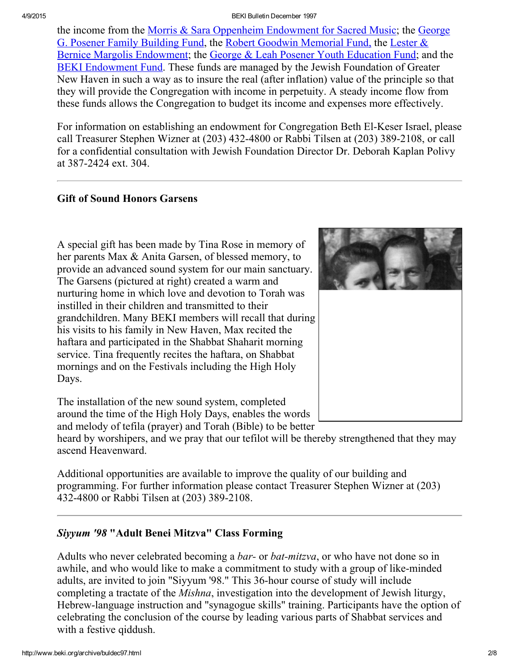4/9/2015 BEKI Bulletin December 1997

the income from the Morris & Sara Oppenheim [Endowment](http://www.beki.org/archive/endowment.html#oppenheim) for Sacred Music; the George G. Posener Family Building Fund, the Robert Goodwin [Memorial](http://www.beki.org/archive/endowment.html#goodwin) Fund, the Lester & Bernice Margolis [Endowment;](http://www.beki.org/archive/endowment.html#margolis) the George & Leah Posener Youth [Education](http://www.beki.org/archive/endowment.html#PosenerYouth) Fund; and the BEKI [Endowment](http://www.beki.org/archive/endowment.html#general) Fund. These funds are managed by the Jewish Foundation of Greater New Haven in such a way as to insure the real (after inflation) value of the principle so that they will provide the Congregation with income in perpetuity. A steady income flow from these funds allows the Congregation to budget its income and expenses more effectively.

For information on establishing an endowment for Congregation Beth El-Keser Israel, please call Treasurer Stephen Wizner at (203) 432-4800 or Rabbi Tilsen at (203) 389-2108, or call for a confidential consultation with Jewish Foundation Director Dr. Deborah Kaplan Polivy at 387-2424 ext. 304.

# <span id="page-1-0"></span>Gift of Sound Honors Garsens

A special gift has been made by Tina Rose in memory of her parents Max & Anita Garsen, of blessed memory, to provide an advanced sound system for our main sanctuary. The Garsens (pictured at right) created a warm and nurturing home in which love and devotion to Torah was instilled in their children and transmitted to their grandchildren. Many BEKI members will recall that during his visits to his family in New Haven, Max recited the haftara and participated in the Shabbat Shaharit morning service. Tina frequently recites the haftara, on Shabbat mornings and on the Festivals including the High Holy Days.

The installation of the new sound system, completed around the time of the High Holy Days, enables the words and melody of tefila (prayer) and Torah (Bible) to be better

heard by worshipers, and we pray that our tefilot will be thereby strengthened that they may ascend Heavenward.

Additional opportunities are available to improve the quality of our building and programming. For further information please contact Treasurer Stephen Wizner at (203) 432-4800 or Rabbi Tilsen at (203) 389-2108.

# <span id="page-1-1"></span>Siyyum '98 "Adult Benei Mitzva" Class Forming

Adults who never celebrated becoming a *bar*- or *bat-mitzva*, or who have not done so in awhile, and who would like to make a commitment to study with a group of like-minded adults, are invited to join "Siyyum '98." This 36-hour course of study will include completing a tractate of the *Mishna*, investigation into the development of Jewish liturgy, Hebrew-language instruction and "synagogue skills" training. Participants have the option of celebrating the conclusion of the course by leading various parts of Shabbat services and with a festive qiddush.

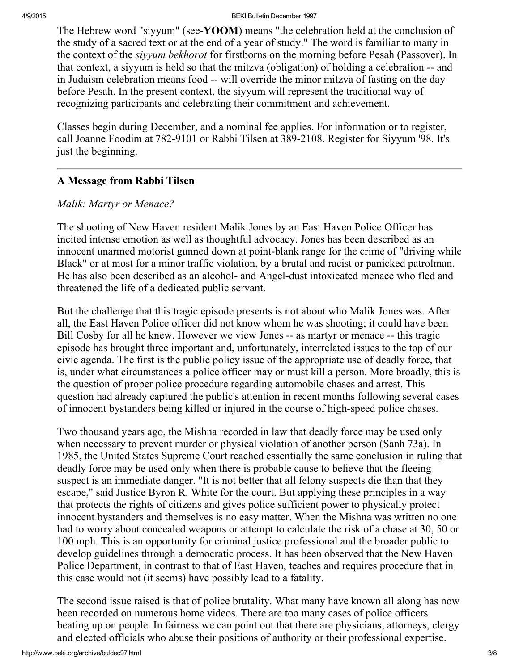#### 4/9/2015 BEKI Bulletin December 1997

The Hebrew word "siyyum" (see-YOOM) means "the celebration held at the conclusion of the study of a sacred text or at the end of a year of study." The word is familiar to many in the context of the *siyyum bekhorot* for firstborns on the morning before Pesah (Passover). In that context, a siyyum is held so that the mitzva (obligation) of holding a celebration -- and in Judaism celebration means food -- will override the minor mitzva of fasting on the day before Pesah. In the present context, the siyyum will represent the traditional way of recognizing participants and celebrating their commitment and achievement.

Classes begin during December, and a nominal fee applies. For information or to register, call Joanne Foodim at 782-9101 or Rabbi Tilsen at 389-2108. Register for Siyyum '98. It's just the beginning.

#### <span id="page-2-0"></span>A Message from Rabbi Tilsen

#### Malik: Martyr or Menace?

The shooting of New Haven resident Malik Jones by an East Haven Police Officer has incited intense emotion as well as thoughtful advocacy. Jones has been described as an innocent unarmed motorist gunned down at point-blank range for the crime of "driving while Black" or at most for a minor traffic violation, by a brutal and racist or panicked patrolman. He has also been described as an alcohol- and Angel-dust intoxicated menace who fled and threatened the life of a dedicated public servant.

But the challenge that this tragic episode presents is not about who Malik Jones was. After all, the East Haven Police officer did not know whom he was shooting; it could have been Bill Cosby for all he knew. However we view Jones -- as martyr or menace -- this tragic episode has brought three important and, unfortunately, interrelated issues to the top of our civic agenda. The first is the public policy issue of the appropriate use of deadly force, that is, under what circumstances a police officer may or must kill a person. More broadly, this is the question of proper police procedure regarding automobile chases and arrest. This question had already captured the public's attention in recent months following several cases of innocent bystanders being killed or injured in the course of high-speed police chases.

Two thousand years ago, the Mishna recorded in law that deadly force may be used only when necessary to prevent murder or physical violation of another person (Sanh 73a). In 1985, the United States Supreme Court reached essentially the same conclusion in ruling that deadly force may be used only when there is probable cause to believe that the fleeing suspect is an immediate danger. "It is not better that all felony suspects die than that they escape," said Justice Byron R. White for the court. But applying these principles in a way that protects the rights of citizens and gives police sufficient power to physically protect innocent bystanders and themselves is no easy matter. When the Mishna was written no one had to worry about concealed weapons or attempt to calculate the risk of a chase at 30, 50 or 100 mph. This is an opportunity for criminal justice professional and the broader public to develop guidelines through a democratic process. It has been observed that the New Haven Police Department, in contrast to that of East Haven, teaches and requires procedure that in this case would not (it seems) have possibly lead to a fatality.

The second issue raised is that of police brutality. What many have known all along has now been recorded on numerous home videos. There are too many cases of police officers beating up on people. In fairness we can point out that there are physicians, attorneys, clergy and elected officials who abuse their positions of authority or their professional expertise.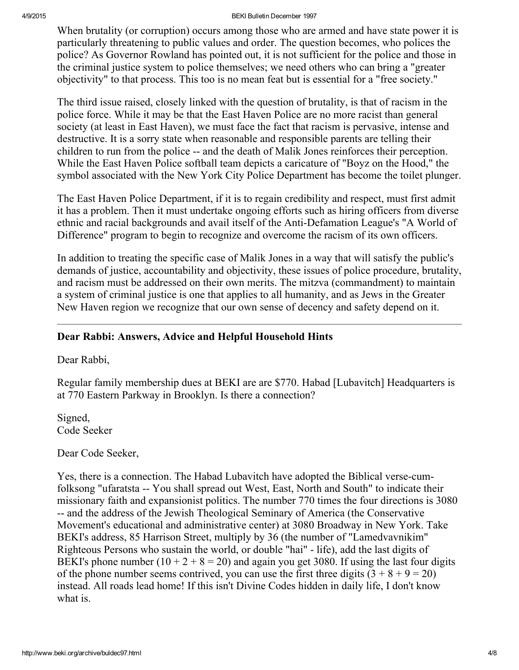#### 4/9/2015 BEKI Bulletin December 1997

When brutality (or corruption) occurs among those who are armed and have state power it is particularly threatening to public values and order. The question becomes, who polices the police? As Governor Rowland has pointed out, it is not sufficient for the police and those in the criminal justice system to police themselves; we need others who can bring a "greater objectivity" to that process. This too is no mean feat but is essential for a "free society."

The third issue raised, closely linked with the question of brutality, is that of racism in the police force. While it may be that the East Haven Police are no more racist than general society (at least in East Haven), we must face the fact that racism is pervasive, intense and destructive. It is a sorry state when reasonable and responsible parents are telling their children to run from the police -- and the death of Malik Jones reinforces their perception. While the East Haven Police softball team depicts a caricature of "Boyz on the Hood," the symbol associated with the New York City Police Department has become the toilet plunger.

The East Haven Police Department, if it is to regain credibility and respect, must first admit it has a problem. Then it must undertake ongoing efforts such as hiring officers from diverse ethnic and racial backgrounds and avail itself of the Anti-Defamation League's "A World of Difference" program to begin to recognize and overcome the racism of its own officers.

In addition to treating the specific case of Malik Jones in a way that will satisfy the public's demands of justice, accountability and objectivity, these issues of police procedure, brutality, and racism must be addressed on their own merits. The mitzva (commandment) to maintain a system of criminal justice is one that applies to all humanity, and as Jews in the Greater New Haven region we recognize that our own sense of decency and safety depend on it.

# <span id="page-3-0"></span>Dear Rabbi: Answers, Advice and Helpful Household Hints

Dear Rabbi,

Regular family membership dues at BEKI are are \$770. Habad [Lubavitch] Headquarters is at 770 Eastern Parkway in Brooklyn. Is there a connection?

Signed, Code Seeker

Dear Code Seeker,

Yes, there is a connection. The Habad Lubavitch have adopted the Biblical verse-cumfolksong "ufaratsta -- You shall spread out West, East, North and South" to indicate their missionary faith and expansionist politics. The number 770 times the four directions is 3080 and the address of the Jewish Theological Seminary of America (the Conservative Movement's educational and administrative center) at 3080 Broadway in New York. Take BEKI's address, 85 Harrison Street, multiply by 36 (the number of "Lamedvavnikim" Righteous Persons who sustain the world, or double "hai" - life), add the last digits of BEKI's phone number  $(10 + 2 + 8 = 20)$  and again you get 3080. If using the last four digits of the phone number seems contrived, you can use the first three digits  $(3 + 8 + 9 = 20)$ instead. All roads lead home! If this isn't Divine Codes hidden in daily life, I don't know what is.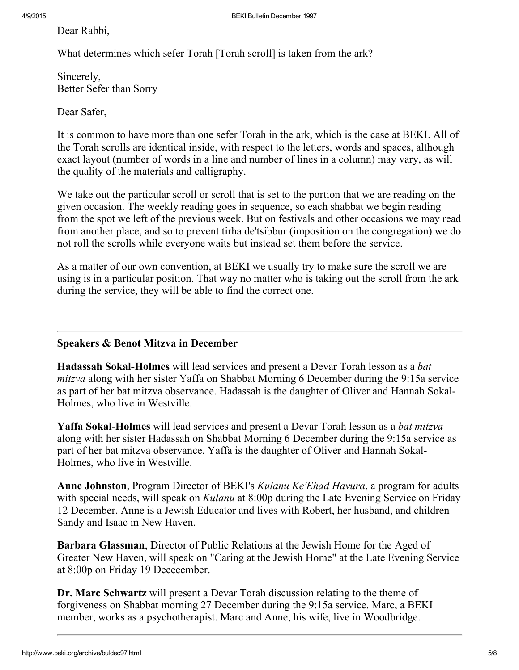Dear Rabbi,

What determines which sefer Torah [Torah scroll] is taken from the ark?

Sincerely, Better Sefer than Sorry

Dear Safer,

It is common to have more than one sefer Torah in the ark, which is the case at BEKI. All of the Torah scrolls are identical inside, with respect to the letters, words and spaces, although exact layout (number of words in a line and number of lines in a column) may vary, as will the quality of the materials and calligraphy.

We take out the particular scroll or scroll that is set to the portion that we are reading on the given occasion. The weekly reading goes in sequence, so each shabbat we begin reading from the spot we left of the previous week. But on festivals and other occasions we may read from another place, and so to prevent tirha de'tsibbur (imposition on the congregation) we do not roll the scrolls while everyone waits but instead set them before the service.

As a matter of our own convention, at BEKI we usually try to make sure the scroll we are using is in a particular position. That way no matter who is taking out the scroll from the ark during the service, they will be able to find the correct one.

# <span id="page-4-0"></span>Speakers & Benot Mitzva in December

Hadassah Sokal-Holmes will lead services and present a Devar Torah lesson as a bat mitzva along with her sister Yaffa on Shabbat Morning 6 December during the 9:15a service as part of her bat mitzva observance. Hadassah is the daughter of Oliver and Hannah Sokal-Holmes, who live in Westville.

Yaffa Sokal-Holmes will lead services and present a Devar Torah lesson as a bat mitzva along with her sister Hadassah on Shabbat Morning 6 December during the 9:15a service as part of her bat mitzva observance. Yaffa is the daughter of Oliver and Hannah Sokal-Holmes, who live in Westville.

Anne Johnston, Program Director of BEKI's *Kulanu Ke'Ehad Havura*, a program for adults with special needs, will speak on *Kulanu* at 8:00p during the Late Evening Service on Friday 12 December. Anne is a Jewish Educator and lives with Robert, her husband, and children Sandy and Isaac in New Haven.

Barbara Glassman, Director of Public Relations at the Jewish Home for the Aged of Greater New Haven, will speak on "Caring at the Jewish Home" at the Late Evening Service at 8:00p on Friday 19 Dececember.

Dr. Marc Schwartz will present a Devar Torah discussion relating to the theme of forgiveness on Shabbat morning 27 December during the 9:15a service. Marc, a BEKI member, works as a psychotherapist. Marc and Anne, his wife, live in Woodbridge.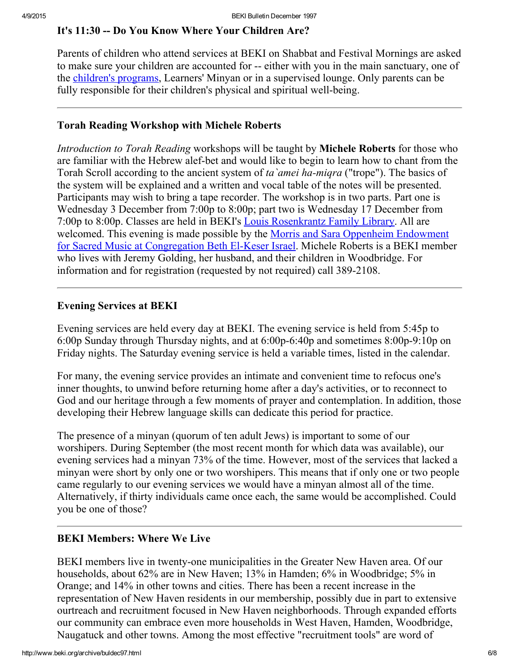#### <span id="page-5-0"></span>It's 11:30 -- Do You Know Where Your Children Are?

Parents of children who attend services at BEKI on Shabbat and Festival Mornings are asked to make sure your children are accounted for -- either with you in the main sanctuary, one of the [children's](http://www.beki.org/archive/youth.html) programs, Learners' Minyan or in a supervised lounge. Only parents can be fully responsible for their children's physical and spiritual well-being.

#### <span id="page-5-3"></span>Torah Reading Workshop with Michele Roberts

Introduction to Torah Reading workshops will be taught by **Michele Roberts** for those who are familiar with the Hebrew alef-bet and would like to begin to learn how to chant from the Torah Scroll according to the ancient system of ta *amei ha-migra* ("trope"). The basics of the system will be explained and a written and vocal table of the notes will be presented. Participants may wish to bring a tape recorder. The workshop is in two parts. Part one is Wednesday 3 December from 7:00p to 8:00p; part two is Wednesday 17 December from 7:00p to 8:00p. Classes are held in BEKI's Louis [Rosenkrantz](http://www.beki.org/archive/endowments.html#rosenkrantz) Family Library. All are welcomed. This evening is made possible by the Morris and Sara Oppenheim Endowment for Sacred Music at [Congregation](http://www.beki.org/archive/endowment.html#oppenheim) Beth El-Keser Israel. Michele Roberts is a BEKI member who lives with Jeremy Golding, her husband, and their children in Woodbridge. For information and for registration (requested by not required) call 389-2108.

#### <span id="page-5-2"></span>Evening Services at BEKI

Evening services are held every day at BEKI. The evening service is held from 5:45p to 6:00p Sunday through Thursday nights, and at  $6:00p-6:40p$  and sometimes  $8:00p-9:10p$  on Friday nights. The Saturday evening service is held a variable times, listed in the calendar.

For many, the evening service provides an intimate and convenient time to refocus one's inner thoughts, to unwind before returning home after a day's activities, or to reconnect to God and our heritage through a few moments of prayer and contemplation. In addition, those developing their Hebrew language skills can dedicate this period for practice.

The presence of a minyan (quorum of ten adult Jews) is important to some of our worshipers. During September (the most recent month for which data was available), our evening services had a minyan 73% of the time. However, most of the services that lacked a minyan were short by only one or two worshipers. This means that if only one or two people came regularly to our evening services we would have a minyan almost all of the time. Alternatively, if thirty individuals came once each, the same would be accomplished. Could you be one of those?

# <span id="page-5-1"></span>BEKI Members: Where We Live

BEKI members live in twenty-one municipalities in the Greater New Haven area. Of our households, about 62% are in New Haven; 13% in Hamden; 6% in Woodbridge; 5% in Orange; and 14% in other towns and cities. There has been a recent increase in the representation of New Haven residents in our membership, possibly due in part to extensive ourtreach and recruitment focused in New Haven neighborhoods. Through expanded efforts our community can embrace even more households in West Haven, Hamden, Woodbridge, Naugatuck and other towns. Among the most effective "recruitment tools" are word of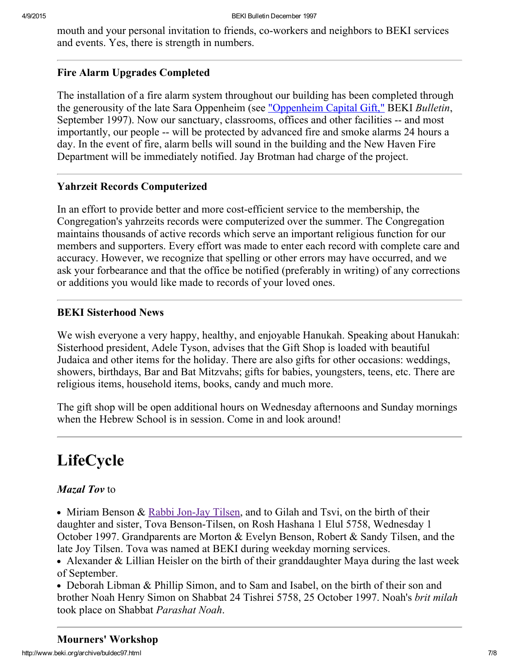mouth and your personal invitation to friends, co-workers and neighbors to BEKI services and events. Yes, there is strength in numbers.

#### <span id="page-6-4"></span>Fire Alarm Upgrades Completed

The installation of a fire alarm system throughout our building has been completed through the generousity of the late Sara Oppenheim (see ["Oppenheim](http://www.beki.org/archive/bulsep97.html#capital) Capital Gift," BEKI Bulletin, September 1997). Now our sanctuary, classrooms, offices and other facilities -- and most importantly, our people -- will be protected by advanced fire and smoke alarms 24 hours a day. In the event of fire, alarm bells will sound in the building and the New Haven Fire Department will be immediately notified. Jay Brotman had charge of the project.

# <span id="page-6-1"></span>Yahrzeit Records Computerized

In an effort to provide better and more cost-efficient service to the membership, the Congregation's yahrzeits records were computerized over the summer. The Congregation maintains thousands of active records which serve an important religious function for our members and supporters. Every effort was made to enter each record with complete care and accuracy. However, we recognize that spelling or other errors may have occurred, and we ask your forbearance and that the office be notified (preferably in writing) of any corrections or additions you would like made to records of your loved ones.

#### <span id="page-6-2"></span>BEKI Sisterhood News

We wish everyone a very happy, healthy, and enjoyable Hanukah. Speaking about Hanukah: Sisterhood president, Adele Tyson, advises that the Gift Shop is loaded with beautiful Judaica and other items for the holiday. There are also gifts for other occasions: weddings, showers, birthdays, Bar and Bat Mitzvahs; gifts for babies, youngsters, teens, etc. There are religious items, household items, books, candy and much more.

The gift shop will be open additional hours on Wednesday afternoons and Sunday mornings when the Hebrew School is in session. Come in and look around!

# <span id="page-6-3"></span>LifeCycle

# Mazal Tov to

• Miriam Benson  $& Rabbi Jon-Jav Tilsen, and to Gilah and Tsvi, on the birth of their$ daughter and sister, Tova Benson-Tilsen, on Rosh Hashana 1 Elul 5758, Wednesday 1 October 1997. Grandparents are Morton & Evelyn Benson, Robert & Sandy Tilsen, and the late Joy Tilsen. Tova was named at BEKI during weekday morning services.

• Alexander & Lillian Heisler on the birth of their granddaughter Maya during the last week of September.

<span id="page-6-0"></span>Deborah Libman & Phillip Simon, and to Sam and Isabel, on the birth of their son and brother Noah Henry Simon on Shabbat 24 Tishrei 5758, 25 October 1997. Noah's brit milah took place on Shabbat Parashat Noah.